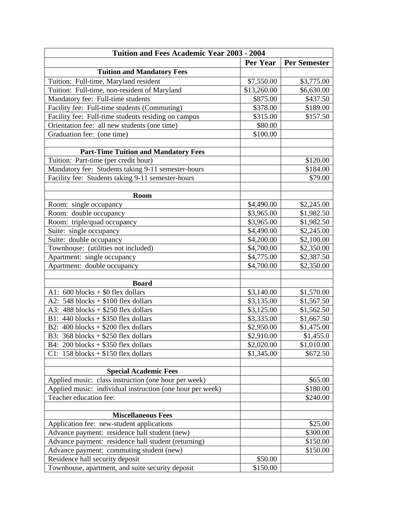| Tuition and Fees Academic Year 2003 - 2004                |             |                     |  |
|-----------------------------------------------------------|-------------|---------------------|--|
|                                                           | Per Year    | <b>Per Semester</b> |  |
| <b>Tuition and Mandatory Fees</b>                         |             |                     |  |
| Tuition: Full-time, Maryland resident                     | \$7,550.00  | \$3,775.00          |  |
| Tuition: Full-time, non-resident of Maryland              | \$13,260.00 | \$6,630.00          |  |
| Mandatory fee: Full-time students                         | \$875.00    | \$437.50            |  |
| Facility fee: Full-time students (Commuting)              | \$378.00    | \$189.00            |  |
| Facility fee: Full-time students residing on campus       | \$315.00    | \$157.50            |  |
| Orientation fee: all new students (one time)              | \$80.00     |                     |  |
| Graduation fee: (one time)                                | \$100.00    |                     |  |
|                                                           |             |                     |  |
| <b>Part-Time Tuition and Mandatory Fees</b>               |             |                     |  |
| Tuition: Part-time (per credit hour)                      |             | \$120.00            |  |
| Mandatory fee: Students taking 9-11 semester-hours        |             | \$184.00            |  |
| Facility fee: Students taking 9-11 semester-hours         |             | \$79.00             |  |
|                                                           |             |                     |  |
| Room                                                      |             |                     |  |
| Room: single occupancy                                    | \$4,490.00  | \$2,245.00          |  |
| Room: double occupancy                                    | \$3,965.00  | \$1,982.50          |  |
| Room: triple/quad occupancy                               | \$3,965.00  | \$1,982.50          |  |
| Suite: single occupancy                                   | \$4,490.00  | \$2,245.00          |  |
| Suite: double occupancy                                   | \$4,200.00  | \$2,100.00          |  |
| Townhouse: (utilities not included)                       | \$4,700.00  | \$2,350.00          |  |
| Apartment: single occupancy                               | \$4,775.00  | \$2,387.50          |  |
| Apartment: double occupancy                               | \$4,700.00  | \$2,350.00          |  |
|                                                           |             |                     |  |
| <b>Board</b>                                              |             |                     |  |
| A1: $600$ blocks + \$0 flex dollars                       | \$3,140.00  | \$1,570.00          |  |
| A2: $548$ blocks + \$100 flex dollars                     | \$3,135.00  | \$1,567.50          |  |
| A3: $488$ blocks + \$250 flex dollars                     | \$3,125.00  | \$1,562.50          |  |
| B1: $440$ blocks + \$350 flex dollars                     | \$3,335.00  | \$1,667.50          |  |
| B2: $400$ blocks + \$200 flex dollars                     | \$2,950.00  | \$1,475.00          |  |
| B3: $368$ blocks + \$250 flex dollars                     | \$2,910.00  | \$1,455.0           |  |
| B4: 200 blocks $+$ \$350 flex dollars                     | \$2,020.00  | \$1,010.00          |  |
| C1: $158$ blocks + \$150 flex dollars                     | \$1,345.00  | \$672.50            |  |
|                                                           |             |                     |  |
| <b>Special Academic Fees</b>                              |             |                     |  |
| Applied music: class instruction (one hour per week)      |             | \$65.00             |  |
| Applied music: individual instruction (one hour per week) |             | \$180.00            |  |
| Teacher education fee:                                    |             | \$240.00            |  |
|                                                           |             |                     |  |
| <b>Miscellaneous Fees</b>                                 |             |                     |  |
| Application fee: new-student applications                 |             | \$25.00             |  |
| Advance payment: residence hall student (new)             |             | \$300.00            |  |
| Advance payment: residence hall student (returning)       |             | \$150.00            |  |
| Advance payment: commuting student (new)                  |             | \$150.00            |  |
| Residence hall security deposit                           | \$50.00     |                     |  |
| Townhouse, apartment, and suite security deposit          | \$150.00    |                     |  |